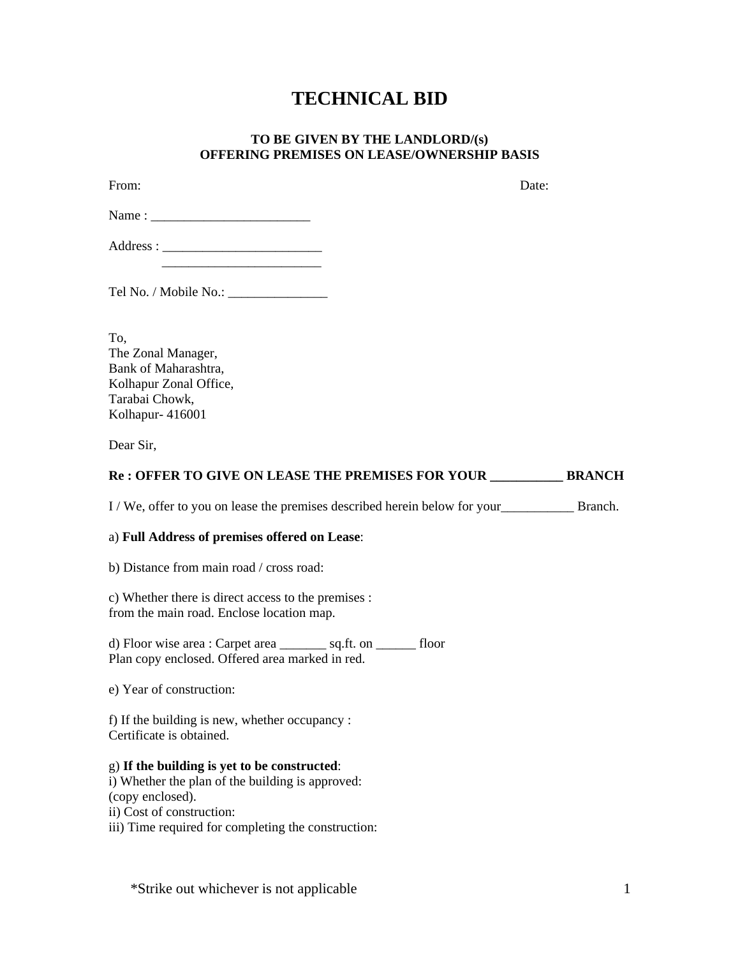# **TECHNICAL BID**

### **TO BE GIVEN BY THE LANDLORD/(s) OFFERING PREMISES ON LEASE/OWNERSHIP BASIS**

| From:                                                    | Date:         |
|----------------------------------------------------------|---------------|
|                                                          |               |
|                                                          |               |
|                                                          |               |
| To,                                                      |               |
| The Zonal Manager,                                       |               |
| Bank of Maharashtra,                                     |               |
| Kolhapur Zonal Office,                                   |               |
| Tarabai Chowk,                                           |               |
| Kolhapur- 416001                                         |               |
| Dear Sir,                                                |               |
| <b>Re : OFFER TO GIVE ON LEASE THE PREMISES FOR YOUR</b> | <b>BRANCH</b> |

I / We, offer to you on lease the premises described herein below for your\_\_\_\_\_\_\_\_\_\_\_ Branch.

#### a) **Full Address of premises offered on Lease**:

b) Distance from main road / cross road:

c) Whether there is direct access to the premises : from the main road. Enclose location map.

d) Floor wise area : Carpet area \_\_\_\_\_\_\_ sq.ft. on \_\_\_\_\_\_ floor Plan copy enclosed. Offered area marked in red.

e) Year of construction:

f) If the building is new, whether occupancy : Certificate is obtained.

g) **If the building is yet to be constructed**:

i) Whether the plan of the building is approved: (copy enclosed).

ii) Cost of construction:

iii) Time required for completing the construction:

\*Strike out whichever is not applicable 1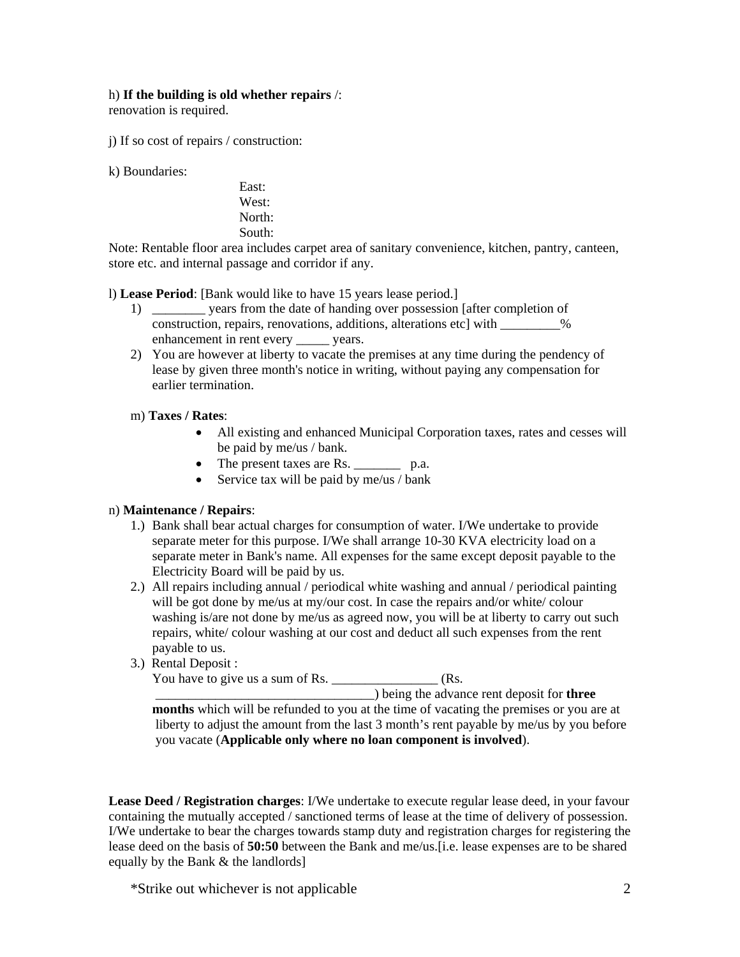### h) **If the building is old whether repairs** /:

renovation is required.

j) If so cost of repairs / construction:

k) Boundaries:

East: West: North: South:

Note: Rentable floor area includes carpet area of sanitary convenience, kitchen, pantry, canteen, store etc. and internal passage and corridor if any.

l) **Lease Period**: [Bank would like to have 15 years lease period.]

- 1) \_\_\_\_\_\_\_\_ years from the date of handing over possession [after completion of construction, repairs, renovations, additions, alterations etc] with \_\_\_\_\_\_\_\_\_% enhancement in rent every \_\_\_\_\_\_ years.
- 2) You are however at liberty to vacate the premises at any time during the pendency of lease by given three month's notice in writing, without paying any compensation for earlier termination.
- m) **Taxes / Rates**:
	- All existing and enhanced Municipal Corporation taxes, rates and cesses will be paid by me/us / bank.
	- The present taxes are Rs. \_\_\_\_\_\_\_\_ p.a.
	- Service tax will be paid by me/us / bank

### n) **Maintenance / Repairs**:

- 1.) Bank shall bear actual charges for consumption of water. I/We undertake to provide separate meter for this purpose. I/We shall arrange 10-30 KVA electricity load on a separate meter in Bank's name. All expenses for the same except deposit payable to the Electricity Board will be paid by us.
- 2.) All repairs including annual / periodical white washing and annual / periodical painting will be got done by me/us at my/our cost. In case the repairs and/or white/ colour washing is/are not done by me/us as agreed now, you will be at liberty to carry out such repairs, white/ colour washing at our cost and deduct all such expenses from the rent payable to us.
- 3.) Rental Deposit :

You have to give us a sum of Rs.  $\frac{1}{1}$  (Rs.

 \_\_\_\_\_\_\_\_\_\_\_\_\_\_\_\_\_\_\_\_\_\_\_\_\_\_\_\_\_\_\_\_\_) being the advance rent deposit for **three months** which will be refunded to you at the time of vacating the premises or you are at liberty to adjust the amount from the last 3 month's rent payable by me/us by you before you vacate (**Applicable only where no loan component is involved**).

**Lease Deed / Registration charges**: I/We undertake to execute regular lease deed, in your favour containing the mutually accepted / sanctioned terms of lease at the time of delivery of possession. I/We undertake to bear the charges towards stamp duty and registration charges for registering the lease deed on the basis of **50:50** between the Bank and me/us.[i.e. lease expenses are to be shared equally by the Bank & the landlords]

\*Strike out whichever is not applicable 2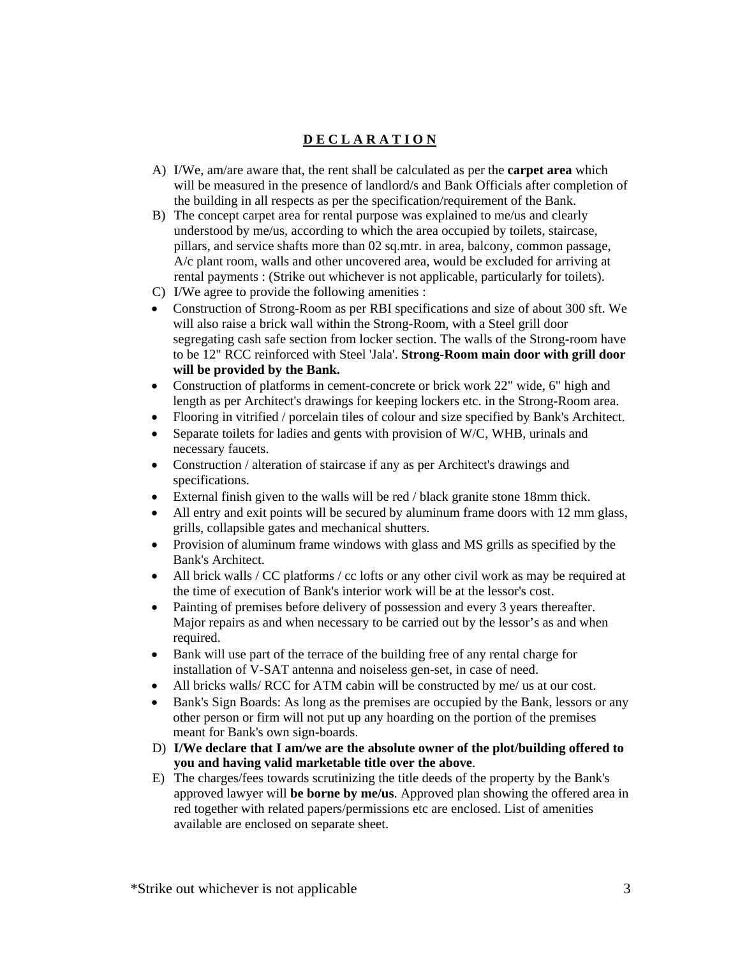# **D E C L A R A T I O N**

- A) I/We, am/are aware that, the rent shall be calculated as per the **carpet area** which will be measured in the presence of landlord/s and Bank Officials after completion of the building in all respects as per the specification/requirement of the Bank.
- B) The concept carpet area for rental purpose was explained to me/us and clearly understood by me/us, according to which the area occupied by toilets, staircase, pillars, and service shafts more than 02 sq.mtr. in area, balcony, common passage, A/c plant room, walls and other uncovered area, would be excluded for arriving at rental payments : (Strike out whichever is not applicable, particularly for toilets).
- C) I/We agree to provide the following amenities :
- Construction of Strong-Room as per RBI specifications and size of about 300 sft. We will also raise a brick wall within the Strong-Room, with a Steel grill door segregating cash safe section from locker section. The walls of the Strong-room have to be 12" RCC reinforced with Steel 'Jala'. **Strong-Room main door with grill door will be provided by the Bank.**
- Construction of platforms in cement-concrete or brick work 22" wide, 6" high and length as per Architect's drawings for keeping lockers etc. in the Strong-Room area.
- Flooring in vitrified / porcelain tiles of colour and size specified by Bank's Architect.
- Separate toilets for ladies and gents with provision of W/C, WHB, urinals and necessary faucets.
- Construction / alteration of staircase if any as per Architect's drawings and specifications.
- External finish given to the walls will be red / black granite stone 18mm thick.
- All entry and exit points will be secured by aluminum frame doors with 12 mm glass, grills, collapsible gates and mechanical shutters.
- Provision of aluminum frame windows with glass and MS grills as specified by the Bank's Architect.
- All brick walls / CC platforms / cc lofts or any other civil work as may be required at the time of execution of Bank's interior work will be at the lessor's cost.
- Painting of premises before delivery of possession and every 3 years thereafter. Major repairs as and when necessary to be carried out by the lessor's as and when required.
- Bank will use part of the terrace of the building free of any rental charge for installation of V-SAT antenna and noiseless gen-set, in case of need.
- All bricks walls/ RCC for ATM cabin will be constructed by me/ us at our cost.
- Bank's Sign Boards: As long as the premises are occupied by the Bank, lessors or any other person or firm will not put up any hoarding on the portion of the premises meant for Bank's own sign-boards.
- D) **I/We declare that I am/we are the absolute owner of the plot/building offered to you and having valid marketable title over the above**.
- E) The charges/fees towards scrutinizing the title deeds of the property by the Bank's approved lawyer will **be borne by me/us**. Approved plan showing the offered area in red together with related papers/permissions etc are enclosed. List of amenities available are enclosed on separate sheet.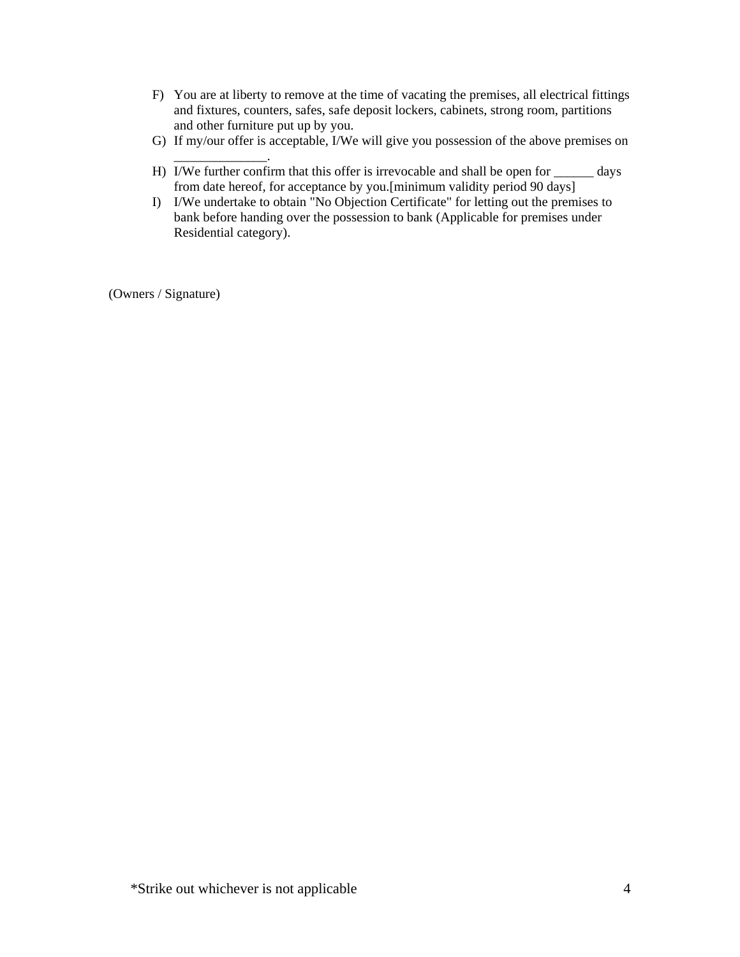- F) You are at liberty to remove at the time of vacating the premises, all electrical fittings and fixtures, counters, safes, safe deposit lockers, cabinets, strong room, partitions and other furniture put up by you.
- G) If my/our offer is acceptable, I/We will give you possession of the above premises on
- \_\_\_\_\_\_\_\_\_\_\_\_\_\_. H) I/We further confirm that this offer is irrevocable and shall be open for \_\_\_\_\_\_ days from date hereof, for acceptance by you.[minimum validity period 90 days]
- I) I/We undertake to obtain "No Objection Certificate" for letting out the premises to bank before handing over the possession to bank (Applicable for premises under Residential category).

(Owners / Signature)